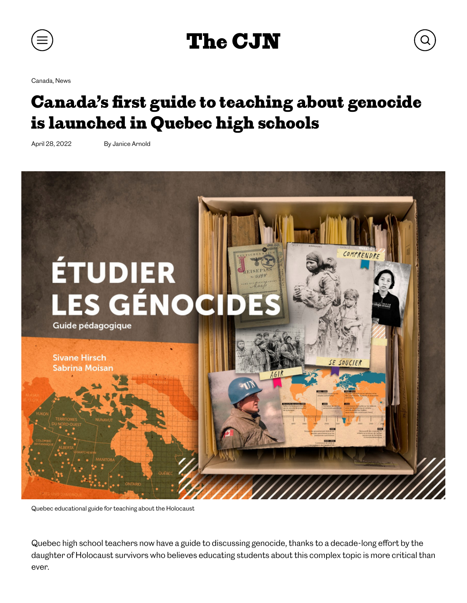

## [The CJN](https://thecjn.ca/)

[Canada](https://thecjn.ca/news/canada/), [News](https://thecjn.ca/news/)

## Canada's first guide to teaching about genocide is launched in Quebec high schools

April 28, 2022 By Janice Arnold



Quebec educational guide for teaching about the Holocaust

Quebec high school teachers now have a guide to discussing genocide, thanks to a decade-long effort by the daughter of Holocaust survivors who believes educating students about this complex topic is more critical than ever.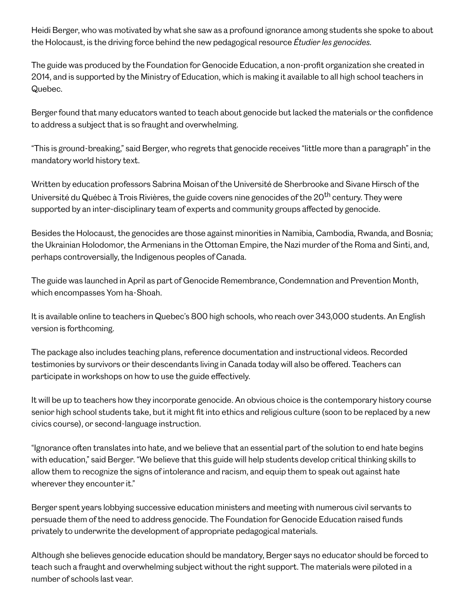Heidi Berger, who was motivated by what she saw as a profound ignorance among students she spoke to about the Holocaust, is the driving force behind the new pedagogical resource Etudier les genocides.

The guide was produced by the Foundation for Genocide Education, a non-profit organization she created in 2014, and is supported by the Ministry of Education, which is making it available to all high school teachers in Quebec.

Berger found that many educators wanted to teach about genocide but lacked the materials or the confidence to address a subject that is so fraught and overwhelming.

"This is ground-breaking," said Berger, who regrets that genocide receives "little more than a paragraph" in the mandatory world history text.

Written by education professors Sabrina Moisan of the Université de Sherbrooke and Sivane Hirsch of the Université du Québec à Trois Rivières, the guide covers nine genocides of the 20<sup>th</sup> century. They were supported by an inter-disciplinary team of experts and community groups affected by genocide.

Besides the Holocaust, the genocides are those against minorities in Namibia, Cambodia, Rwanda, and Bosnia; the Ukrainian Holodomor, the Armenians in the Ottoman Empire, the Nazi murder of the Roma and Sinti, and, perhaps controversially, the Indigenous peoples of Canada.

The guide was launched in April as part of Genocide Remembrance, Condemnation and Prevention Month, which encompasses Yom ha-Shoah.

It is available online to teachers in Quebec's 800 high schools, who reach over 343,000 students. An English version is forthcoming.

The package also includes teaching plans, reference documentation and instructional videos. Recorded testimonies by survivors or their descendants living in Canada today will also be offered. Teachers can participate in workshops on how to use the guide effectively.

It will be up to teachers how they incorporate genocide. An obvious choice is the contemporary history course senior high school students take, but it might fit into ethics and religious culture (soon to be replaced by a new civics course), or second-language instruction.

"Ignorance often translates into hate, and we believe that an essential part of the solution to end hate begins with education," said Berger. "We believe that this guide will help students develop critical thinking skills to allow them to recognize the signs of intolerance and racism, and equip them to speak out against hate wherever they encounter it."

Berger spent years lobbying successive education ministers and meeting with numerous civil servants to persuade them of the need to address genocide. The Foundation for Genocide Education raised funds privately to underwrite the development of appropriate pedagogical materials.

Although she believes genocide education should be mandatory, Berger says no educator should be forced to teach such a fraught and overwhelming subject without the right support. The materials were piloted in a number of schools last year.